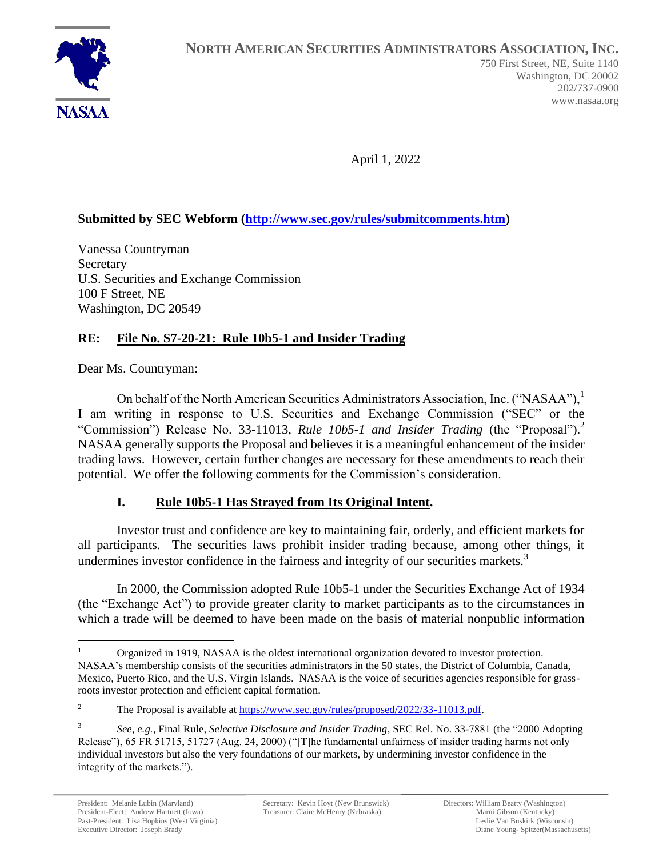

April 1, 2022

# **Submitted by SEC Webform [\(http://www.sec.gov/rules/submitcomments.htm\)](http://www.sec.gov/rules/submitcomments.htm)**

Vanessa Countryman **Secretary** U.S. Securities and Exchange Commission 100 F Street, NE Washington, DC 20549

## **RE: File No. S7-20-21: Rule 10b5-1 and Insider Trading**

Dear Ms. Countryman:

On behalf of the North American Securities Administrators Association, Inc. ("NASAA"),<sup>1</sup> I am writing in response to U.S. Securities and Exchange Commission ("SEC" or the "Commission") Release No. 33-11013, *Rule 10b5-1 and Insider Trading* (the "Proposal"). 2 NASAA generally supports the Proposal and believes it is a meaningful enhancement of the insider trading laws. However, certain further changes are necessary for these amendments to reach their potential. We offer the following comments for the Commission's consideration.

## **I. Rule 10b5-1 Has Strayed from Its Original Intent.**

Investor trust and confidence are key to maintaining fair, orderly, and efficient markets for all participants. The securities laws prohibit insider trading because, among other things, it undermines investor confidence in the fairness and integrity of our securities markets. $3$ 

In 2000, the Commission adopted Rule 10b5-1 under the Securities Exchange Act of 1934 (the "Exchange Act") to provide greater clarity to market participants as to the circumstances in which a trade will be deemed to have been made on the basis of material nonpublic information

Organized in 1919, NASAA is the oldest international organization devoted to investor protection. NASAA's membership consists of the securities administrators in the 50 states, the District of Columbia, Canada, Mexico, Puerto Rico, and the U.S. Virgin Islands. NASAA is the voice of securities agencies responsible for grassroots investor protection and efficient capital formation.

<sup>&</sup>lt;sup>2</sup> The Proposal is available at [https://www.sec.gov/rules/proposed/2022/33-11013.pdf.](https://www.sec.gov/rules/proposed/2022/33-11013.pdf)

<sup>3</sup> *See*, *e.g.*, Final Rule, *Selective Disclosure and Insider Trading*, SEC Rel. No. 33-7881 (the "2000 Adopting Release"), 65 FR 51715, 51727 (Aug. 24, 2000) ("[T]he fundamental unfairness of insider trading harms not only individual investors but also the very foundations of our markets, by undermining investor confidence in the integrity of the markets.").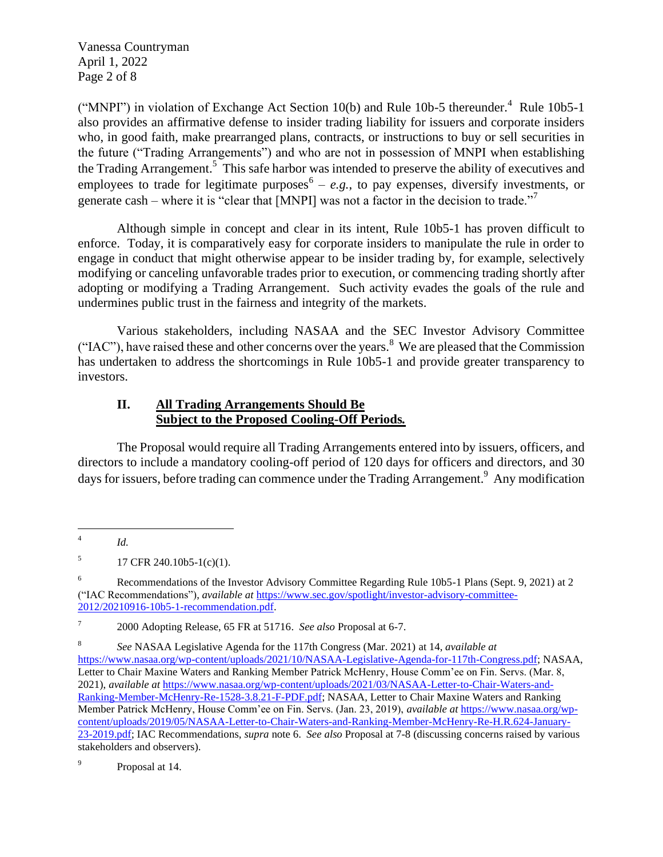Vanessa Countryman April 1, 2022 Page 2 of 8

("MNPI") in violation of Exchange Act Section  $10(b)$  and Rule 10b-5 thereunder.<sup>4</sup> Rule 10b5-1 also provides an affirmative defense to insider trading liability for issuers and corporate insiders who, in good faith, make prearranged plans, contracts, or instructions to buy or sell securities in the future ("Trading Arrangements") and who are not in possession of MNPI when establishing the Trading Arrangement.<sup>5</sup> This safe harbor was intended to preserve the ability of executives and employees to trade for legitimate purposes<sup> $6 - e.g.,$ </sup> to pay expenses, diversify investments, or generate cash – where it is "clear that [MNPI] was not a factor in the decision to trade."

Although simple in concept and clear in its intent, Rule 10b5-1 has proven difficult to enforce. Today, it is comparatively easy for corporate insiders to manipulate the rule in order to engage in conduct that might otherwise appear to be insider trading by, for example, selectively modifying or canceling unfavorable trades prior to execution, or commencing trading shortly after adopting or modifying a Trading Arrangement. Such activity evades the goals of the rule and undermines public trust in the fairness and integrity of the markets.

Various stakeholders, including NASAA and the SEC Investor Advisory Committee ("IAC"), have raised these and other concerns over the years.<sup>8</sup> We are pleased that the Commission has undertaken to address the shortcomings in Rule 10b5-1 and provide greater transparency to investors.

#### **II. All Trading Arrangements Should Be Subject to the Proposed Cooling-Off Periods***.*

The Proposal would require all Trading Arrangements entered into by issuers, officers, and directors to include a mandatory cooling-off period of 120 days for officers and directors, and 30 days for issuers, before trading can commence under the Trading Arrangement.<sup>9</sup> Any modification

7 2000 Adopting Release, 65 FR at 51716. *See also* Proposal at 6-7.

<sup>4</sup> *Id.*

<sup>5</sup> 17 CFR 240.10b5-1(c)(1).

<sup>6</sup> Recommendations of the Investor Advisory Committee Regarding Rule 10b5-1 Plans (Sept. 9, 2021) at 2 ("IAC Recommendations"), *available at* [https://www.sec.gov/spotlight/investor-advisory-committee-](https://www.sec.gov/spotlight/investor-advisory-committee-2012/20210916-10b5-1-recommendation.pdf)[2012/20210916-10b5-1-recommendation.pdf.](https://www.sec.gov/spotlight/investor-advisory-committee-2012/20210916-10b5-1-recommendation.pdf)

<sup>8</sup> *See* NASAA Legislative Agenda for the 117th Congress (Mar. 2021) at 14, *available at* [https://www.nasaa.org/wp-content/uploads/2021/10/NASAA-Legislative-Agenda-for-117th-Congress.pdf;](https://www.nasaa.org/wp-content/uploads/2021/10/NASAA-Legislative-Agenda-for-117th-Congress.pdf) NASAA, Letter to Chair Maxine Waters and Ranking Member Patrick McHenry, House Comm'ee on Fin. Servs. (Mar. 8, 2021), *available at* [https://www.nasaa.org/wp-content/uploads/2021/03/NASAA-Letter-to-Chair-Waters-and-](https://www.nasaa.org/wp-content/uploads/2021/03/NASAA-Letter-to-Chair-Waters-and-Ranking-Member-McHenry-Re-1528-3.8.21-F-PDF.pdf)[Ranking-Member-McHenry-Re-1528-3.8.21-F-PDF.pdf;](https://www.nasaa.org/wp-content/uploads/2021/03/NASAA-Letter-to-Chair-Waters-and-Ranking-Member-McHenry-Re-1528-3.8.21-F-PDF.pdf) NASAA, Letter to Chair Maxine Waters and Ranking Member Patrick McHenry, House Comm'ee on Fin. Servs. (Jan. 23, 2019), *available at* [https://www.nasaa.org/wp](https://www.nasaa.org/wp-content/uploads/2019/05/NASAA-Letter-to-Chair-Waters-and-Ranking-Member-McHenry-Re-H.R.624-January-23-2019.pdf)[content/uploads/2019/05/NASAA-Letter-to-Chair-Waters-and-Ranking-Member-McHenry-Re-H.R.624-January-](https://www.nasaa.org/wp-content/uploads/2019/05/NASAA-Letter-to-Chair-Waters-and-Ranking-Member-McHenry-Re-H.R.624-January-23-2019.pdf)[23-2019.pdf;](https://www.nasaa.org/wp-content/uploads/2019/05/NASAA-Letter-to-Chair-Waters-and-Ranking-Member-McHenry-Re-H.R.624-January-23-2019.pdf) IAC Recommendations, *supra* note 6. *See also* Proposal at 7-8 (discussing concerns raised by various stakeholders and observers).

<sup>9</sup> Proposal at 14.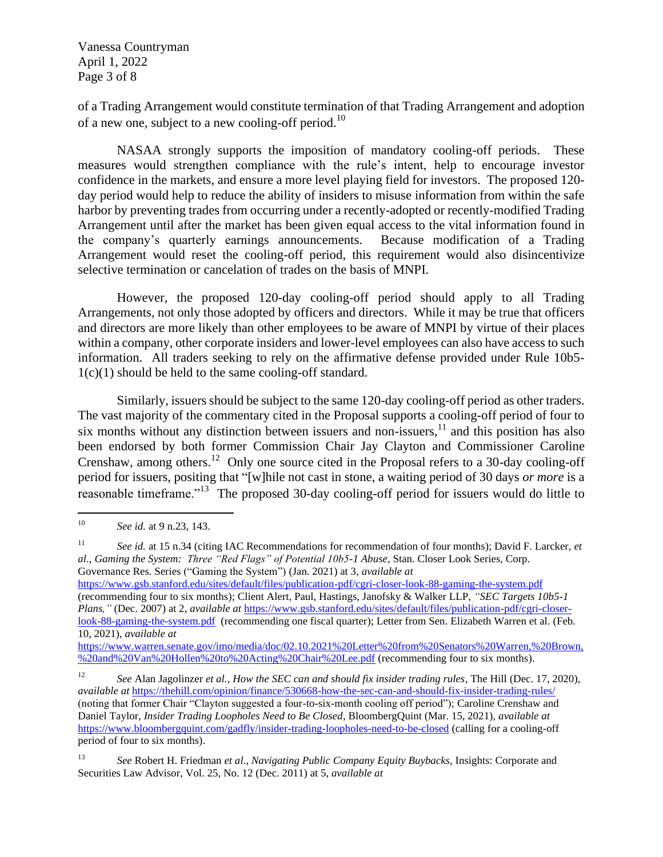Vanessa Countryman April 1, 2022 Page 3 of 8

of a Trading Arrangement would constitute termination of that Trading Arrangement and adoption of a new one, subject to a new cooling-off period.<sup>10</sup>

NASAA strongly supports the imposition of mandatory cooling-off periods. These measures would strengthen compliance with the rule's intent, help to encourage investor confidence in the markets, and ensure a more level playing field for investors. The proposed 120 day period would help to reduce the ability of insiders to misuse information from within the safe harbor by preventing trades from occurring under a recently-adopted or recently-modified Trading Arrangement until after the market has been given equal access to the vital information found in the company's quarterly earnings announcements. Because modification of a Trading Arrangement would reset the cooling-off period, this requirement would also disincentivize selective termination or cancelation of trades on the basis of MNPI.

However, the proposed 120-day cooling-off period should apply to all Trading Arrangements, not only those adopted by officers and directors. While it may be true that officers and directors are more likely than other employees to be aware of MNPI by virtue of their places within a company, other corporate insiders and lower-level employees can also have access to such information. All traders seeking to rely on the affirmative defense provided under Rule 10b5- 1(c)(1) should be held to the same cooling-off standard.

Similarly, issuers should be subject to the same 120-day cooling-off period as other traders. The vast majority of the commentary cited in the Proposal supports a cooling-off period of four to six months without any distinction between issuers and non-issuers, $11$  and this position has also been endorsed by both former Commission Chair Jay Clayton and Commissioner Caroline Crenshaw, among others.<sup>12</sup> Only one source cited in the Proposal refers to a 30-day cooling-off period for issuers, positing that "[w]hile not cast in stone, a waiting period of 30 days *or more* is a reasonable timeframe."<sup>13</sup> The proposed 30-day cooling-off period for issuers would do little to

*Plans,"* (Dec. 2007) at 2, *available at* [https://www.gsb.stanford.edu/sites/default/files/publication-pdf/cgri-closer](https://www.gsb.stanford.edu/sites/default/files/publication-pdf/cgri-closer-look-88-gaming-the-system.pdf)[look-88-gaming-the-system.pdf](https://www.gsb.stanford.edu/sites/default/files/publication-pdf/cgri-closer-look-88-gaming-the-system.pdf) (recommending one fiscal quarter); Letter from Sen. Elizabeth Warren et al. (Feb. 10, 2021), *available at*

[https://www.warren.senate.gov/imo/media/doc/02.10.2021%20Letter%20from%20Senators%20Warren,%20Brown,](https://www.warren.senate.gov/imo/media/doc/02.10.2021%20Letter%20from%20Senators%20Warren,%20Brown,%20and%20Van%20Hollen%20to%20Acting%20Chair%20Lee.pdf) [%20and%20Van%20Hollen%20to%20Acting%20Chair%20Lee.pdf](https://www.warren.senate.gov/imo/media/doc/02.10.2021%20Letter%20from%20Senators%20Warren,%20Brown,%20and%20Van%20Hollen%20to%20Acting%20Chair%20Lee.pdf) (recommending four to six months).

<sup>12</sup> *See* Alan Jagolinzer *et al.*, *How the SEC can and should fix insider trading rules*, The Hill (Dec. 17, 2020), *available at* <https://thehill.com/opinion/finance/530668-how-the-sec-can-and-should-fix-insider-trading-rules/> (noting that former Chair "Clayton suggested a four-to-six-month cooling off period"); Caroline Crenshaw and Daniel Taylor, *Insider Trading Loopholes Need to Be Closed*, BloombergQuint (Mar. 15, 2021), *available at* <https://www.bloombergquint.com/gadfly/insider-trading-loopholes-need-to-be-closed> (calling for a cooling-off period of four to six months).

<sup>10</sup> *See id.* at 9 n.23, 143.

<sup>11</sup> *See id.* at 15 n.34 (citing IAC Recommendations for recommendation of four months); David F. Larcker, *et al*., *Gaming the System: Three "Red Flags" of Potential 10b5-1 Abuse*, Stan. Closer Look Series, Corp. Governance Res. Series ("Gaming the System") (Jan. 2021) at 3, *available at* <https://www.gsb.stanford.edu/sites/default/files/publication-pdf/cgri-closer-look-88-gaming-the-system.pdf> (recommending four to six months); Client Alert, Paul, Hastings, Janofsky & Walker LLP, *"SEC Targets 10b5-1* 

<sup>13</sup> *See* Robert H. Friedman *et al*., *Navigating Public Company Equity Buybacks*, Insights: Corporate and Securities Law Advisor, Vol. 25, No. 12 (Dec. 2011) at 5, *available at*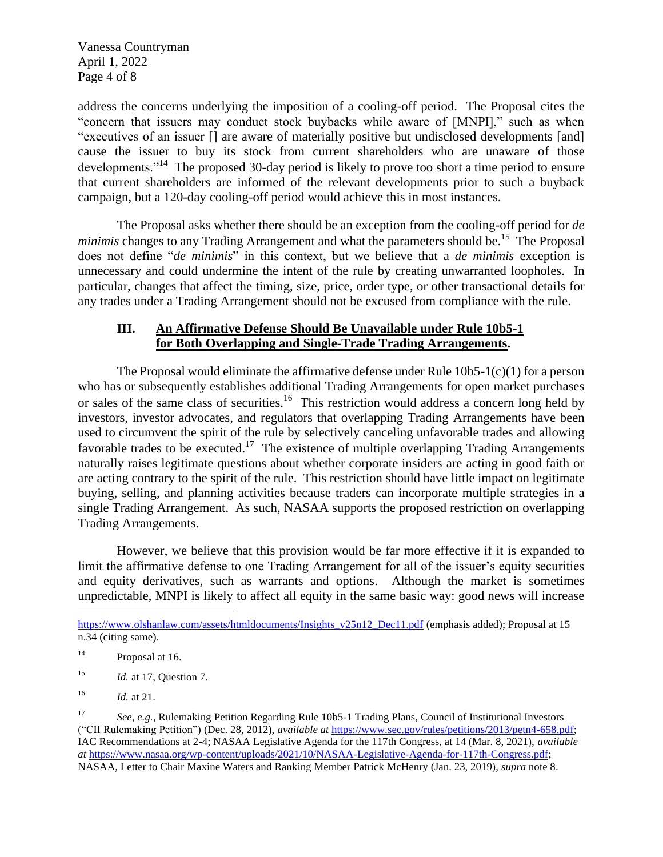Vanessa Countryman April 1, 2022 Page 4 of 8

address the concerns underlying the imposition of a cooling-off period. The Proposal cites the "concern that issuers may conduct stock buybacks while aware of [MNPI]," such as when "executives of an issuer [] are aware of materially positive but undisclosed developments [and] cause the issuer to buy its stock from current shareholders who are unaware of those developments."<sup>14</sup> The proposed 30-day period is likely to prove too short a time period to ensure that current shareholders are informed of the relevant developments prior to such a buyback campaign, but a 120-day cooling-off period would achieve this in most instances.

The Proposal asks whether there should be an exception from the cooling-off period for *de minimis* changes to any Trading Arrangement and what the parameters should be.<sup>15</sup> The Proposal does not define "*de minimis*" in this context, but we believe that a *de minimis* exception is unnecessary and could undermine the intent of the rule by creating unwarranted loopholes. In particular, changes that affect the timing, size, price, order type, or other transactional details for any trades under a Trading Arrangement should not be excused from compliance with the rule.

## **III. An Affirmative Defense Should Be Unavailable under Rule 10b5-1 for Both Overlapping and Single-Trade Trading Arrangements.**

The Proposal would eliminate the affirmative defense under Rule  $10b5-1(c)(1)$  for a person who has or subsequently establishes additional Trading Arrangements for open market purchases or sales of the same class of securities.<sup>16</sup> This restriction would address a concern long held by investors, investor advocates, and regulators that overlapping Trading Arrangements have been used to circumvent the spirit of the rule by selectively canceling unfavorable trades and allowing favorable trades to be executed.<sup>17</sup> The existence of multiple overlapping Trading Arrangements naturally raises legitimate questions about whether corporate insiders are acting in good faith or are acting contrary to the spirit of the rule. This restriction should have little impact on legitimate buying, selling, and planning activities because traders can incorporate multiple strategies in a single Trading Arrangement. As such, NASAA supports the proposed restriction on overlapping Trading Arrangements.

However, we believe that this provision would be far more effective if it is expanded to limit the affirmative defense to one Trading Arrangement for all of the issuer's equity securities and equity derivatives, such as warrants and options. Although the market is sometimes unpredictable, MNPI is likely to affect all equity in the same basic way: good news will increase

<sup>15</sup> *Id.* at 17, Question 7.

[https://www.olshanlaw.com/assets/htmldocuments/Insights\\_v25n12\\_Dec11.pdf](https://www.olshanlaw.com/assets/htmldocuments/Insights_v25n12_Dec11.pdf) (emphasis added); Proposal at 15 n.34 (citing same).

<sup>&</sup>lt;sup>14</sup> Proposal at 16.

<sup>16</sup> *Id.* at 21.

<sup>17</sup> *See*, *e.g.*, Rulemaking Petition Regarding Rule 10b5-1 Trading Plans, Council of Institutional Investors ("CII Rulemaking Petition") (Dec. 28, 2012), *available at* [https://www.sec.gov/rules/petitions/2013/petn4-658.pdf;](https://www.sec.gov/rules/petitions/2013/petn4-658.pdf) IAC Recommendations at 2-4; NASAA Legislative Agenda for the 117th Congress, at 14 (Mar. 8, 2021), *available at* [https://www.nasaa.org/wp-content/uploads/2021/10/NASAA-Legislative-Agenda-for-117th-Congress.pdf;](https://www.nasaa.org/wp-content/uploads/2021/10/NASAA-Legislative-Agenda-for-117th-Congress.pdf) NASAA, Letter to Chair Maxine Waters and Ranking Member Patrick McHenry (Jan. 23, 2019), *supra* note 8.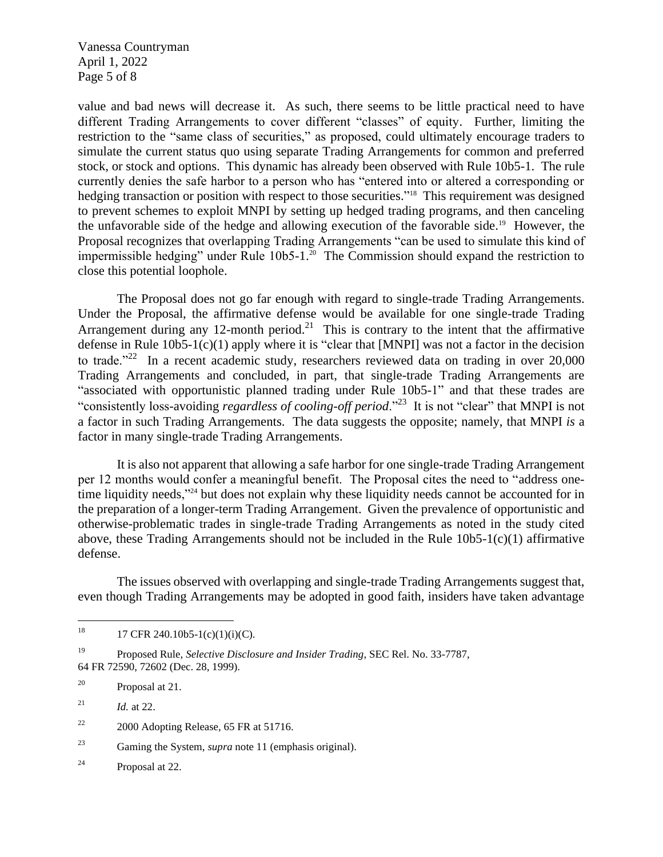Vanessa Countryman April 1, 2022 Page 5 of 8

value and bad news will decrease it. As such, there seems to be little practical need to have different Trading Arrangements to cover different "classes" of equity. Further, limiting the restriction to the "same class of securities," as proposed, could ultimately encourage traders to simulate the current status quo using separate Trading Arrangements for common and preferred stock, or stock and options. This dynamic has already been observed with Rule 10b5-1. The rule currently denies the safe harbor to a person who has "entered into or altered a corresponding or hedging transaction or position with respect to those securities."<sup>18</sup> This requirement was designed to prevent schemes to exploit MNPI by setting up hedged trading programs, and then canceling the unfavorable side of the hedge and allowing execution of the favorable side.<sup>19</sup> However, the Proposal recognizes that overlapping Trading Arrangements "can be used to simulate this kind of impermissible hedging" under Rule 10b5-1.<sup>20</sup> The Commission should expand the restriction to close this potential loophole.

The Proposal does not go far enough with regard to single-trade Trading Arrangements. Under the Proposal, the affirmative defense would be available for one single-trade Trading Arrangement during any 12-month period.<sup>21</sup> This is contrary to the intent that the affirmative defense in Rule  $10b5-1(c)(1)$  apply where it is "clear that [MNPI] was not a factor in the decision to trade."<sup>22</sup> In a recent academic study, researchers reviewed data on trading in over 20,000 Trading Arrangements and concluded, in part, that single-trade Trading Arrangements are "associated with opportunistic planned trading under Rule 10b5-1" and that these trades are "consistently loss-avoiding *regardless of cooling-off period*."<sup>23</sup> It is not "clear" that MNPI is not a factor in such Trading Arrangements. The data suggests the opposite; namely, that MNPI *is* a factor in many single-trade Trading Arrangements.

It is also not apparent that allowing a safe harbor for one single-trade Trading Arrangement per 12 months would confer a meaningful benefit. The Proposal cites the need to "address onetime liquidity needs,"<sup>24</sup> but does not explain why these liquidity needs cannot be accounted for in the preparation of a longer-term Trading Arrangement. Given the prevalence of opportunistic and otherwise-problematic trades in single-trade Trading Arrangements as noted in the study cited above, these Trading Arrangements should not be included in the Rule 10b5-1(c)(1) affirmative defense.

The issues observed with overlapping and single-trade Trading Arrangements suggest that, even though Trading Arrangements may be adopted in good faith, insiders have taken advantage

<sup>&</sup>lt;sup>18</sup> 17 CFR 240.10b5-1(c)(1)(i)(C).

<sup>19</sup> Proposed Rule, *Selective Disclosure and Insider Trading*, SEC Rel. No. 33-7787, 64 FR 72590, 72602 (Dec. 28, 1999).

<sup>20</sup> Proposal at 21.

<sup>&</sup>lt;sup>21</sup> *Id.* at 22.

 $22$  2000 Adopting Release, 65 FR at 51716.

<sup>23</sup> Gaming the System, *supra* note 11 (emphasis original).

<sup>24</sup> Proposal at 22.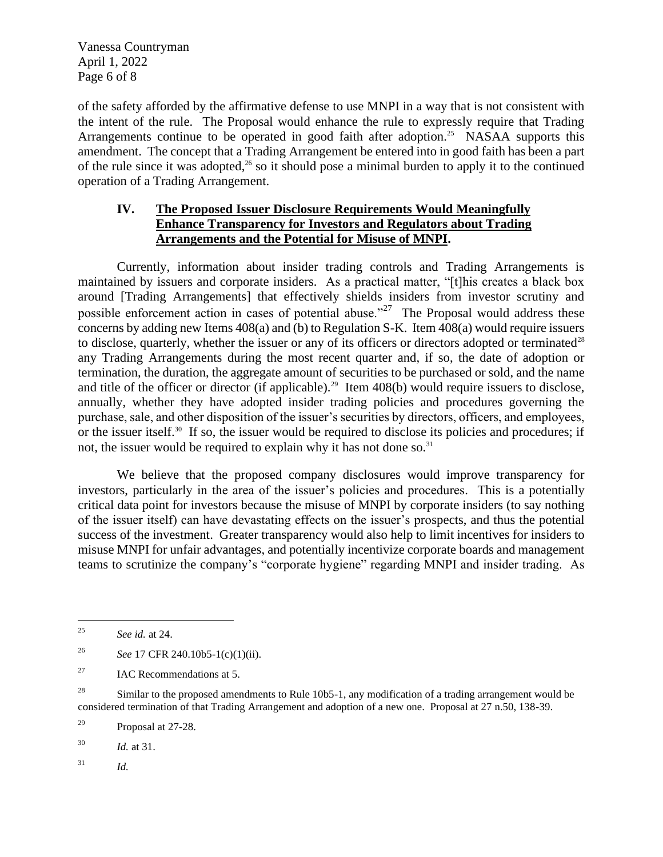Vanessa Countryman April 1, 2022 Page 6 of 8

of the safety afforded by the affirmative defense to use MNPI in a way that is not consistent with the intent of the rule. The Proposal would enhance the rule to expressly require that Trading Arrangements continue to be operated in good faith after adoption.<sup>25</sup> NASAA supports this amendment. The concept that a Trading Arrangement be entered into in good faith has been a part of the rule since it was adopted,<sup>26</sup> so it should pose a minimal burden to apply it to the continued operation of a Trading Arrangement.

#### **IV. The Proposed Issuer Disclosure Requirements Would Meaningfully Enhance Transparency for Investors and Regulators about Trading Arrangements and the Potential for Misuse of MNPI.**

Currently, information about insider trading controls and Trading Arrangements is maintained by issuers and corporate insiders. As a practical matter, "[t]his creates a black box around [Trading Arrangements] that effectively shields insiders from investor scrutiny and possible enforcement action in cases of potential abuse.<sup> $27$ </sup> The Proposal would address these concerns by adding new Items 408(a) and (b) to Regulation S-K. Item 408(a) would require issuers to disclose, quarterly, whether the issuer or any of its officers or directors adopted or terminated<sup>28</sup> any Trading Arrangements during the most recent quarter and, if so, the date of adoption or termination, the duration, the aggregate amount of securities to be purchased or sold, and the name and title of the officer or director (if applicable).<sup>29</sup> Item  $408(b)$  would require issuers to disclose, annually, whether they have adopted insider trading policies and procedures governing the purchase, sale, and other disposition of the issuer's securities by directors, officers, and employees, or the issuer itself.<sup>30</sup> If so, the issuer would be required to disclose its policies and procedures; if not, the issuer would be required to explain why it has not done so.<sup>31</sup>

We believe that the proposed company disclosures would improve transparency for investors, particularly in the area of the issuer's policies and procedures. This is a potentially critical data point for investors because the misuse of MNPI by corporate insiders (to say nothing of the issuer itself) can have devastating effects on the issuer's prospects, and thus the potential success of the investment. Greater transparency would also help to limit incentives for insiders to misuse MNPI for unfair advantages, and potentially incentivize corporate boards and management teams to scrutinize the company's "corporate hygiene" regarding MNPI and insider trading. As

<sup>27</sup> IAC Recommendations at 5.

<sup>28</sup> Similar to the proposed amendments to Rule 10b5-1, any modification of a trading arrangement would be considered termination of that Trading Arrangement and adoption of a new one. Proposal at 27 n.50, 138-39.

<sup>29</sup> Proposal at 27-28.

<sup>30</sup> *Id.* at 31.

<sup>31</sup> *Id.*

<sup>25</sup> *See id.* at 24.

<sup>26</sup> *See* 17 CFR 240.10b5-1(c)(1)(ii).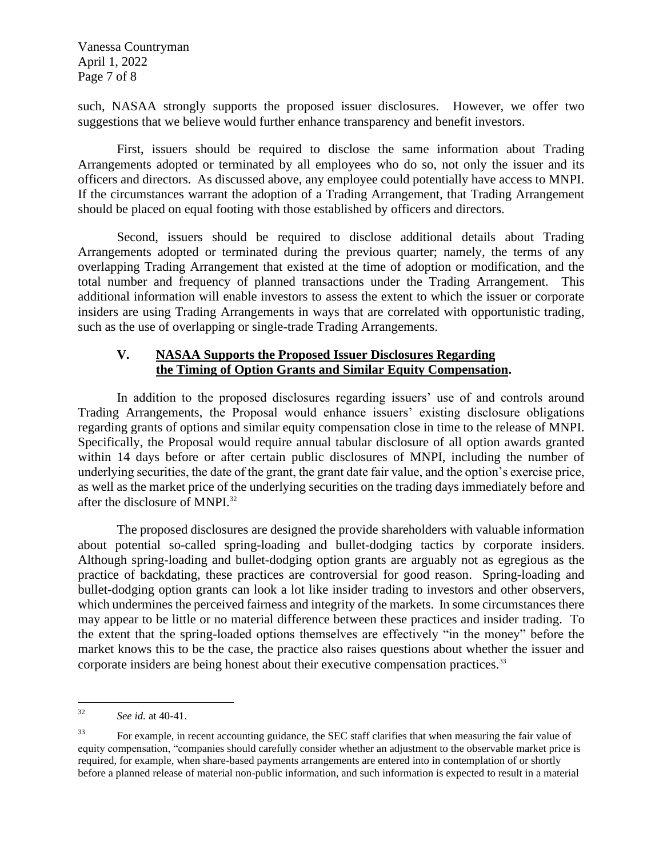Vanessa Countryman April 1, 2022 Page 7 of 8

such, NASAA strongly supports the proposed issuer disclosures. However, we offer two suggestions that we believe would further enhance transparency and benefit investors.

First, issuers should be required to disclose the same information about Trading Arrangements adopted or terminated by all employees who do so, not only the issuer and its officers and directors. As discussed above, any employee could potentially have access to MNPI. If the circumstances warrant the adoption of a Trading Arrangement, that Trading Arrangement should be placed on equal footing with those established by officers and directors.

Second, issuers should be required to disclose additional details about Trading Arrangements adopted or terminated during the previous quarter; namely, the terms of any overlapping Trading Arrangement that existed at the time of adoption or modification, and the total number and frequency of planned transactions under the Trading Arrangement. This additional information will enable investors to assess the extent to which the issuer or corporate insiders are using Trading Arrangements in ways that are correlated with opportunistic trading, such as the use of overlapping or single-trade Trading Arrangements.

## **V. NASAA Supports the Proposed Issuer Disclosures Regarding the Timing of Option Grants and Similar Equity Compensation.**

In addition to the proposed disclosures regarding issuers' use of and controls around Trading Arrangements, the Proposal would enhance issuers' existing disclosure obligations regarding grants of options and similar equity compensation close in time to the release of MNPI. Specifically, the Proposal would require annual tabular disclosure of all option awards granted within 14 days before or after certain public disclosures of MNPI, including the number of underlying securities, the date of the grant, the grant date fair value, and the option's exercise price, as well as the market price of the underlying securities on the trading days immediately before and after the disclosure of MNPI.<sup>32</sup>

The proposed disclosures are designed the provide shareholders with valuable information about potential so-called spring-loading and bullet-dodging tactics by corporate insiders. Although spring-loading and bullet-dodging option grants are arguably not as egregious as the practice of backdating, these practices are controversial for good reason. Spring-loading and bullet-dodging option grants can look a lot like insider trading to investors and other observers, which undermines the perceived fairness and integrity of the markets. In some circumstances there may appear to be little or no material difference between these practices and insider trading. To the extent that the spring-loaded options themselves are effectively "in the money" before the market knows this to be the case, the practice also raises questions about whether the issuer and corporate insiders are being honest about their executive compensation practices.<sup>33</sup>

<sup>32</sup> *See id.* at 40-41.

<sup>&</sup>lt;sup>33</sup> For example, in recent accounting guidance, the SEC staff clarifies that when measuring the fair value of equity compensation, "companies should carefully consider whether an adjustment to the observable market price is required, for example, when share-based payments arrangements are entered into in contemplation of or shortly before a planned release of material non-public information, and such information is expected to result in a material